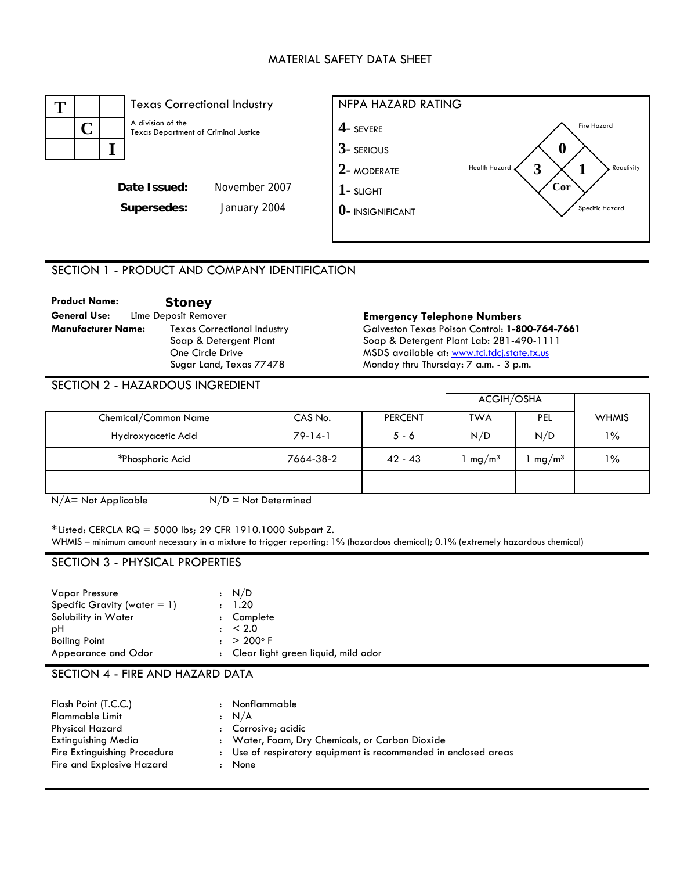#### MATERIAL SAFETY DATA SHEET



## SECTION 1 - PRODUCT AND COMPANY IDENTIFICATION

| <b>Product Name:</b>      | <b>Stoney</b>                      |
|---------------------------|------------------------------------|
| General Use:              | Lime Deposit Remover               |
| <b>Manufacturer Name:</b> | <b>Texas Correctional Industry</b> |
|                           | Soap & Detergent Plant             |
|                           | One Circle Drive                   |
|                           | Sugar Land, Texas 77478            |

#### **Emergency Telephone Numbers**

Galveston Texas Poison Control: **1-800-764-7661**  Soap & Detergent Plant Lab: 281-490-1111 MSDS available at: [www.tci.tdcj.state.tx.us](http://www.tci.tdcj.state.tx.us/) Monday thru Thursday: 7 a.m. - 3 p.m.

## SECTION 2 - HAZARDOUS INGREDIENT

|                      |           |                | ACGIH/OSHA        |                   |              |
|----------------------|-----------|----------------|-------------------|-------------------|--------------|
| Chemical/Common Name | CAS No.   | <b>PERCENT</b> | <b>TWA</b>        | <b>PEL</b>        | <b>WHMIS</b> |
| Hydroxyacetic Acid   | $79-14-1$ | $5 - 6$        | N/D               | N/D               | $1\%$        |
| *Phosphoric Acid     | 7664-38-2 | $42 - 43$      | mg/m <sup>3</sup> | mg/m <sup>3</sup> | $1\%$        |
|                      |           |                |                   |                   |              |

 $N/A$  = Not Applicable  $N/D$  = Not Determined

 $*$  Listed: CERCLA RQ = 5000 lbs; 29 CFR 1910.1000 Subpart Z.

WHMIS – minimum amount necessary in a mixture to trigger reporting: 1% (hazardous chemical); 0.1% (extremely hazardous chemical)

#### SECTION 3 - PHYSICAL PROPERTIES

| Vapor Pressure                  | : N/D                                 |
|---------------------------------|---------------------------------------|
| Specific Gravity (water $= 1$ ) | : 1.20                                |
| Solubility in Water             | : Complete                            |
| рH                              | $: \ \ 2.0$                           |
| <b>Boiling Point</b>            | $: > 200^{\circ}$ F                   |
| Appearance and Odor             | : Clear light green liquid, mild odor |

#### SECTION 4 - FIRE AND HAZARD DATA

| Flash Point (T.C.C.)         | Nonflammable                                                    |
|------------------------------|-----------------------------------------------------------------|
| <b>Flammable Limit</b>       | $\cdot$ N/A                                                     |
| Physical Hazard              | : Corrosive; acidic                                             |
| Extinguishing Media          | : Water, Foam, Dry Chemicals, or Carbon Dioxide                 |
| Fire Extinguishing Procedure | : Use of respiratory equipment is recommended in enclosed areas |
| Fire and Explosive Hazard    | None                                                            |